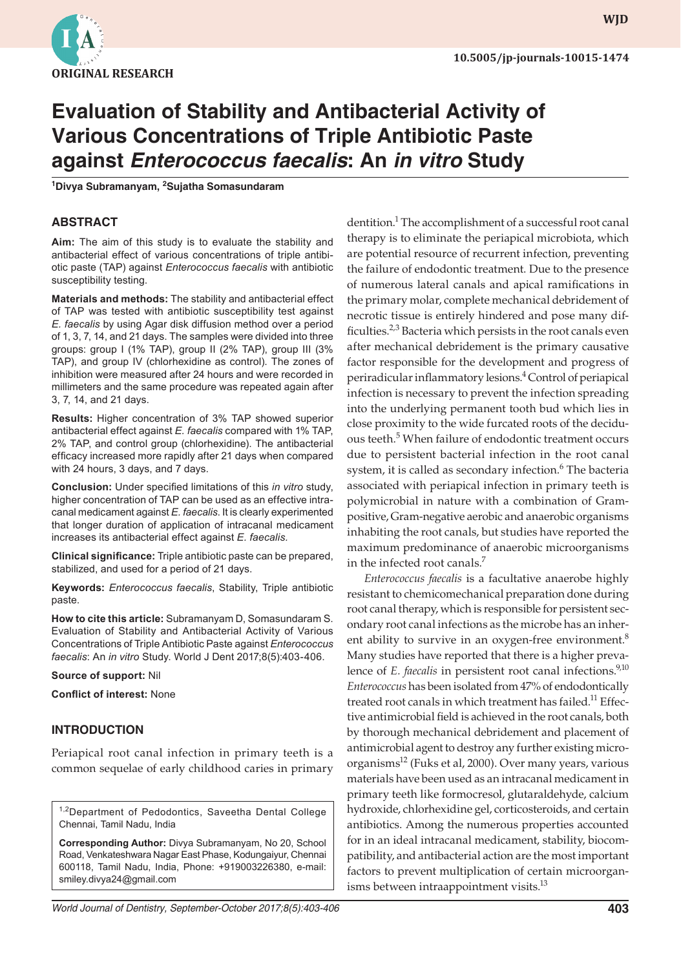

# **Evaluation of Stability and Antibacterial Activity of Various Concentrations of Triple Antibiotic Paste against** *Enterococcus faecalis***: An** *in vitro* **Study**

**1 Divya Subramanyam, <sup>2</sup> Sujatha Somasundaram**

#### **ABSTRACT**

**Aim:** The aim of this study is to evaluate the stability and antibacterial effect of various concentrations of triple antibiotic paste (TAP) against *Enterococcus faecalis* with antibiotic susceptibility testing.

**Materials and methods:** The stability and antibacterial effect of TAP was tested with antibiotic susceptibility test against *E. faecalis* by using Agar disk diffusion method over a period of 1, 3, 7, 14, and 21 days. The samples were divided into three groups: group I (1% TAP), group II (2% TAP), group III (3% TAP), and group IV (chlorhexidine as control). The zones of inhibition were measured after 24 hours and were recorded in millimeters and the same procedure was repeated again after 3, 7, 14, and 21 days.

**Results:** Higher concentration of 3% TAP showed superior antibacterial effect against *E. faecalis* compared with 1% TAP, 2% TAP, and control group (chlorhexidine). The antibacterial efficacy increased more rapidly after 21 days when compared with 24 hours, 3 days, and 7 days.

**Conclusion:** Under specified limitations of this *in vitro* study, higher concentration of TAP can be used as an effective intracanal medicament against *E. faecalis*. It is clearly experimented that longer duration of application of intracanal medicament increases its antibacterial effect against *E. faecalis.*

**Clinical significance:** Triple antibiotic paste can be prepared, stabilized, and used for a period of 21 days.

**Keywords:** *Enterococcus faecalis*, Stability, Triple antibiotic paste.

**How to cite this article:** Subramanyam D, Somasundaram S. Evaluation of Stability and Antibacterial Activity of Various Concentrations of Triple Antibiotic Paste against *Enterococcus faecalis*: An *in vitro* Study. World J Dent 2017;8(5):403-406.

**Source of support:** Nil

**Conflict of interest:** None

#### **INTRODUCTION**

Periapical root canal infection in primary teeth is a common sequelae of early childhood caries in primary

<sup>1,2</sup>Department of Pedodontics, Saveetha Dental College Chennai, Tamil Nadu, India

**Corresponding Author:** Divya Subramanyam, No 20, School Road, Venkateshwara Nagar East Phase, Kodungaiyur, Chennai 600118, Tamil Nadu, India, Phone: +919003226380, e-mail: smiley.divya24@gmail.com

dentition.<sup>1</sup> The accomplishment of a successful root canal therapy is to eliminate the periapical microbiota, which are potential resource of recurrent infection, preventing the failure of endodontic treatment. Due to the presence of numerous lateral canals and apical ramifications in the primary molar, complete mechanical debridement of necrotic tissue is entirely hindered and pose many difficulties.<sup>2,3</sup> Bacteria which persists in the root canals even after mechanical debridement is the primary causative factor responsible for the development and progress of periradicular inflammatory lesions.<sup>4</sup> Control of periapical infection is necessary to prevent the infection spreading into the underlying permanent tooth bud which lies in close proximity to the wide furcated roots of the deciduous teeth.<sup>5</sup> When failure of endodontic treatment occurs due to persistent bacterial infection in the root canal system, it is called as secondary infection.<sup>6</sup> The bacteria associated with periapical infection in primary teeth is polymicrobial in nature with a combination of Grampositive, Gram-negative aerobic and anaerobic organisms inhabiting the root canals, but studies have reported the maximum predominance of anaerobic microorganisms in the infected root canals.7

*Enterococcus faecalis* is a facultative anaerobe highly resistant to chemicomechanical preparation done during root canal therapy, which is responsible for persistent secondary root canal infections as the microbe has an inherent ability to survive in an oxygen-free environment.<sup>8</sup> Many studies have reported that there is a higher prevalence of *E. faecalis* in persistent root canal infections.<sup>9,10</sup> *Enterococcus* has been isolated from 47% of endodontically treated root canals in which treatment has failed.<sup>11</sup> Effective antimicrobial field is achieved in the root canals, both by thorough mechanical debridement and placement of antimicrobial agent to destroy any further existing microorganisms $^{12}$  (Fuks et al, 2000). Over many years, various materials have been used as an intracanal medicament in primary teeth like formocresol, glutaraldehyde, calcium hydroxide, chlorhexidine gel, corticosteroids, and certain antibiotics. Among the numerous properties accounted for in an ideal intracanal medicament, stability, biocompatibility, and antibacterial action are the most important factors to prevent multiplication of certain microorganisms between intraappointment visits.<sup>13</sup>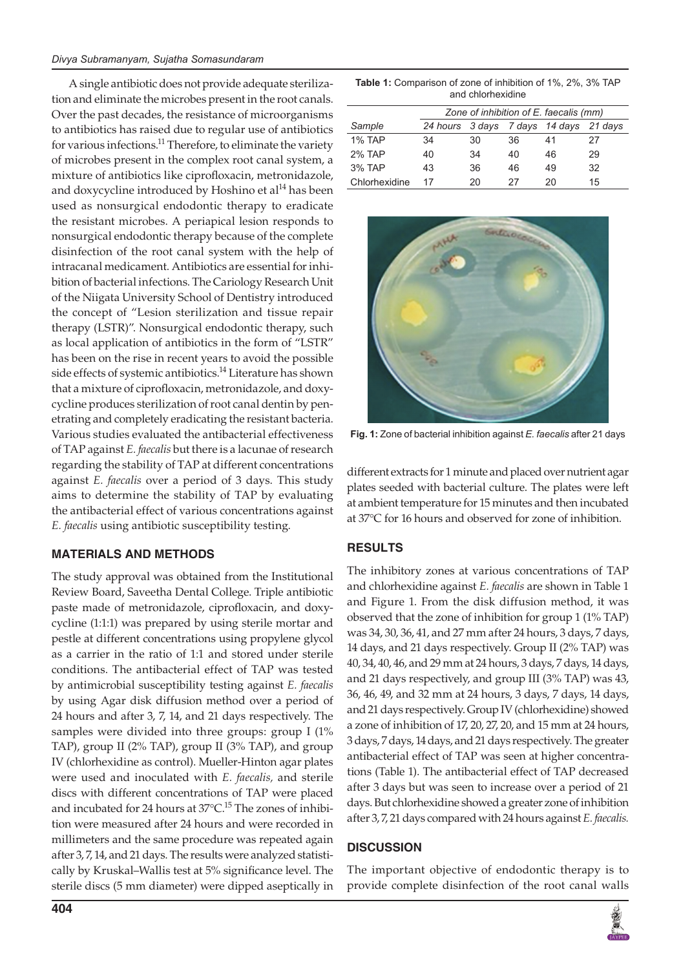A single antibiotic does not provide adequate sterilization and eliminate the microbes present in the root canals. Over the past decades, the resistance of microorganisms to antibiotics has raised due to regular use of antibiotics for various infections.<sup>11</sup> Therefore, to eliminate the variety of microbes present in the complex root canal system, a mixture of antibiotics like ciprofloxacin, metronidazole, and doxycycline introduced by Hoshino et al $^{14}$  has been used as nonsurgical endodontic therapy to eradicate the resistant microbes. A periapical lesion responds to nonsurgical endodontic therapy because of the complete disinfection of the root canal system with the help of intracanal medicament. Antibiotics are essential for inhibition of bacterial infections. The Cariology Research Unit of the Niigata University School of Dentistry introduced the concept of "Lesion sterilization and tissue repair therapy (LSTR)". Nonsurgical endodontic therapy, such as local application of antibiotics in the form of "LSTR" has been on the rise in recent years to avoid the possible side effects of systemic antibiotics.<sup>14</sup> Literature has shown that a mixture of ciprofloxacin, metronidazole, and doxycycline produces sterilization of root canal dentin by penetrating and completely eradicating the resistant bacteria. Various studies evaluated the antibacterial effectiveness of TAP against *E. faecalis* but there is a lacunae of research regarding the stability of TAP at different concentrations against *E. faecalis* over a period of 3 days. This study aims to determine the stability of TAP by evaluating the antibacterial effect of various concentrations against *E. faecalis* using antibiotic susceptibility testing.

#### **MATERIALS AND METHODS**

The study approval was obtained from the Institutional Review Board, Saveetha Dental College. Triple antibiotic paste made of metronidazole, ciprofloxacin, and doxycycline (1:1:1) was prepared by using sterile mortar and pestle at different concentrations using propylene glycol as a carrier in the ratio of 1:1 and stored under sterile conditions. The antibacterial effect of TAP was tested by antimicrobial susceptibility testing against *E. faecalis* by using Agar disk diffusion method over a period of 24 hours and after 3, 7, 14, and 21 days respectively. The samples were divided into three groups: group I (1% TAP), group II (2% TAP), group II (3% TAP), and group IV (chlorhexidine as control). Mueller-Hinton agar plates were used and inoculated with *E. faecalis,* and sterile discs with different concentrations of TAP were placed and incubated for 24 hours at  $37^{\circ}$ C.<sup>15</sup> The zones of inhibition were measured after 24 hours and were recorded in millimeters and the same procedure was repeated again after 3, 7, 14, and 21 days. The results were analyzed statistically by Kruskal–Wallis test at 5% significance level. The sterile discs (5 mm diameter) were dipped aseptically in

**Table 1:** Comparison of zone of inhibition of 1%, 2%, 3% TAP and chlorhexidine

|               | Zone of inhibition of E. faecalis (mm) |    |    |                                        |    |
|---------------|----------------------------------------|----|----|----------------------------------------|----|
| Sample        |                                        |    |    | 24 hours 3 days 7 days 14 days 21 days |    |
| <b>1% TAP</b> | 34                                     | 30 | 36 | 41                                     | 27 |
| 2% TAP        | 40                                     | 34 | 40 | 46                                     | 29 |
| 3% TAP        | 43                                     | 36 | 46 | 49                                     | 32 |
| Chlorhexidine | 17                                     | 20 | 27 | 20                                     | 15 |



**Fig. 1:** Zone of bacterial inhibition against *E. faecalis* after 21 days

different extracts for 1 minute and placed over nutrient agar plates seeded with bacterial culture. The plates were left at ambient temperature for 15 minutes and then incubated at 37°C for 16 hours and observed for zone of inhibition.

### **RESULTS**

The inhibitory zones at various concentrations of TAP and chlorhexidine against *E. faecalis* are shown in Table 1 and Figure 1. From the disk diffusion method, it was observed that the zone of inhibition for group 1 (1% TAP) was 34, 30, 36, 41, and 27 mm after 24 hours, 3 days, 7 days, 14 days, and 21 days respectively. Group II (2% TAP) was 40, 34, 40, 46, and 29 mm at 24 hours, 3 days, 7 days, 14 days, and 21 days respectively, and group III (3% TAP) was 43, 36, 46, 49, and 32 mm at 24 hours, 3 days, 7 days, 14 days, and 21 days respectively. Group IV (chlorhexidine) showed a zone of inhibition of 17, 20, 27, 20, and 15 mm at 24 hours, 3 days, 7 days, 14 days, and 21 days respectively. The greater antibacterial effect of TAP was seen at higher concentrations (Table 1). The antibacterial effect of TAP decreased after 3 days but was seen to increase over a period of 21 days. But chlorhexidine showed a greater zone of inhibition after 3, 7, 21 days compared with 24 hours against *E. faecalis.*

### **DISCUSSION**

The important objective of endodontic therapy is to provide complete disinfection of the root canal walls

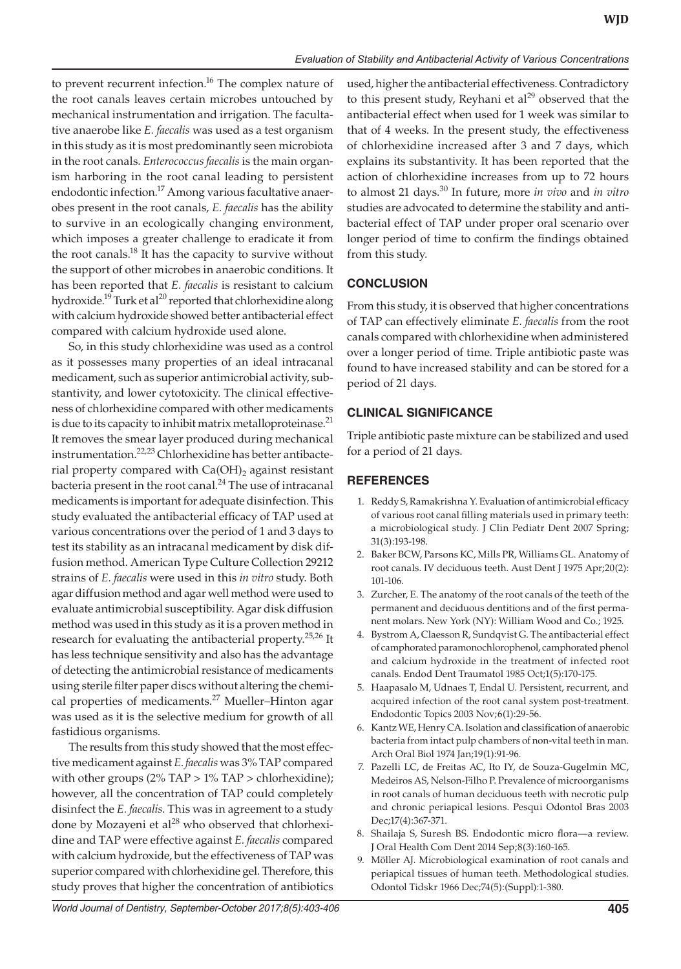to prevent recurrent infection.<sup>16</sup> The complex nature of the root canals leaves certain microbes untouched by mechanical instrumentation and irrigation. The facultative anaerobe like *E. faecalis* was used as a test organism in this study as it is most predominantly seen microbiota in the root canals. *Enterococcus faecalis* is the main organism harboring in the root canal leading to persistent endodontic infection.<sup>17</sup> Among various facultative anaerobes present in the root canals, *E. faecalis* has the ability to survive in an ecologically changing environment, which imposes a greater challenge to eradicate it from the root canals.<sup>18</sup> It has the capacity to survive without the support of other microbes in anaerobic conditions. It has been reported that *E. faecalis* is resistant to calcium hydroxide.<sup>19</sup> Turk et al<sup>20</sup> reported that chlorhexidine along with calcium hydroxide showed better antibacterial effect compared with calcium hydroxide used alone.

So, in this study chlorhexidine was used as a control as it possesses many properties of an ideal intracanal medicament, such as superior antimicrobial activity, substantivity, and lower cytotoxicity. The clinical effectiveness of chlorhexidine compared with other medicaments is due to its capacity to inhibit matrix metalloproteinase. $^{21}$ It removes the smear layer produced during mechanical instrumentation.<sup>22,23</sup> Chlorhexidine has better antibacterial property compared with  $Ca(OH)_2$  against resistant bacteria present in the root canal. $^{24}$  The use of intracanal medicaments is important for adequate disinfection. This study evaluated the antibacterial efficacy of TAP used at various concentrations over the period of 1 and 3 days to test its stability as an intracanal medicament by disk diffusion method. American Type Culture Collection 29212 strains of *E. faecalis* were used in this *in vitro* study. Both agar diffusion method and agar well method were used to evaluate antimicrobial susceptibility. Agar disk diffusion method was used in this study as it is a proven method in research for evaluating the antibacterial property.<sup>25,26</sup> It has less technique sensitivity and also has the advantage of detecting the antimicrobial resistance of medicaments using sterile filter paper discs without altering the chemical properties of medicaments.<sup>27</sup> Mueller-Hinton agar was used as it is the selective medium for growth of all fastidious organisms.

The results from this study showed that the most effective medicament against *E*. *faecalis* was 3% TAP compared with other groups  $(2\%$  TAP >  $1\%$  TAP > chlorhexidine); however, all the concentration of TAP could completely disinfect the *E. faecalis*. This was in agreement to a study done by Mozayeni et al $^{28}$  who observed that chlorhexidine and TAP were effective against *E. faecalis* compared with calcium hydroxide, but the effectiveness of TAP was superior compared with chlorhexidine gel. Therefore, this study proves that higher the concentration of antibiotics used, higher the antibacterial effectiveness. Contradictory to this present study, Reyhani et  $al^{29}$  observed that the antibacterial effect when used for 1 week was similar to that of 4 weeks. In the present study, the effectiveness of chlorhexidine increased after 3 and 7 days, which explains its substantivity. It has been reported that the action of chlorhexidine increases from up to 72 hours to almost 21 days.30 In future, more *in vivo* and *in vitro* studies are advocated to determine the stability and antibacterial effect of TAP under proper oral scenario over longer period of time to confirm the findings obtained from this study.

## **CONCLUSION**

From this study, it is observed that higher concentrations of TAP can effectively eliminate *E. faecalis* from the root canals compared with chlorhexidine when administered over a longer period of time. Triple antibiotic paste was found to have increased stability and can be stored for a period of 21 days.

## **Clinical Significance**

Triple antibiotic paste mixture can be stabilized and used for a period of 21 days.

## **REFERENCES**

- 1. Reddy S, Ramakrishna Y. Evaluation of antimicrobial efficacy of various root canal filling materials used in primary teeth: a microbiological study. J Clin Pediatr Dent 2007 Spring; 31(3):193-198.
- 2. Baker BCW, Parsons KC, Mills PR, Williams GL. Anatomy of root canals. IV deciduous teeth. Aust Dent J 1975 Apr;20(2): 101-106.
- 3. Zurcher, E. The anatomy of the root canals of the teeth of the permanent and deciduous dentitions and of the first permanent molars. New York (NY): William Wood and Co.; 1925.
- 4. Bystrom A, Claesson R, Sundqvist G. The antibacterial effect of camphorated paramonochlorophenol, camphorated phenol and calcium hydroxide in the treatment of infected root canals. Endod Dent Traumatol 1985 Oct;1(5):170-175.
- 5. Haapasalo M, Udnaes T, Endal U. Persistent, recurrent, and acquired infection of the root canal system post-treatment. Endodontic Topics 2003 Nov;6(1):29-56.
- 6. Kantz WE, Henry CA. Isolation and classification of anaerobic bacteria from intact pulp chambers of non-vital teeth in man. Arch Oral Biol 1974 Jan;19(1):91-96.
- 7. Pazelli LC, de Freitas AC, Ito IY, de Souza-Gugelmin MC, Medeiros AS, Nelson-Filho P. Prevalence of microorganisms in root canals of human deciduous teeth with necrotic pulp and chronic periapical lesions. Pesqui Odontol Bras 2003 Dec;17(4):367-371.
- 8. Shailaja S, Suresh BS. Endodontic micro flora—a review. J Oral Health Com Dent 2014 Sep;8(3):160-165.
- 9. Möller AJ. Microbiological examination of root canals and periapical tissues of human teeth. Methodological studies. Odontol Tidskr 1966 Dec;74(5):(Suppl):1-380.